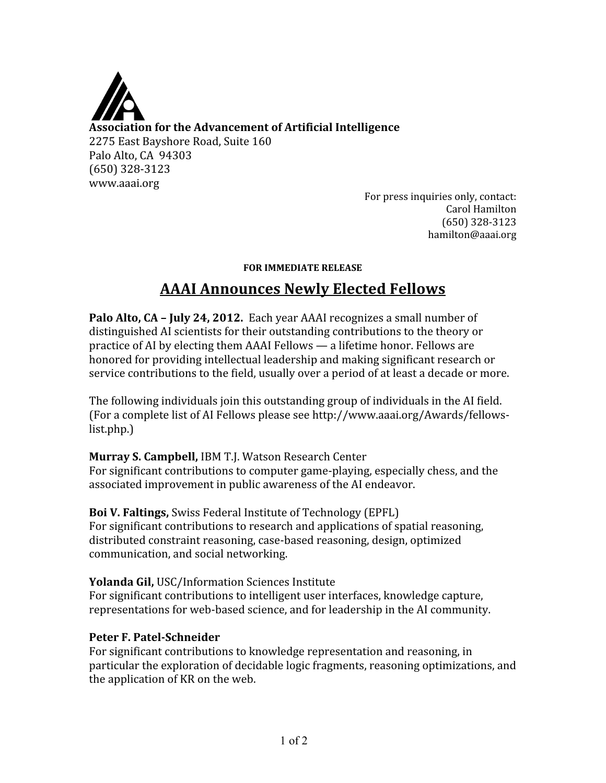

For press inquiries only, contact: Carol Hamilton (650) 328‐3123 hamilton@aaai.org

#### **FOR IMMEDIATE RELEASE**

# **AAAI Announces Newly Elected Fellows**

**Palo Alto, CA – July 24, 2012.** Each year AAAI recognizes a small number of distinguished AI scientists for their outstanding contributions to the theory or practice of AI by electing them AAAI Fellows — a lifetime honor. Fellows are honored for providing intellectual leadership and making significant research or service contributions to the field, usually over a period of at least a decade or more.

The following individuals join this outstanding group of individuals in the AI field. (For a complete list of AI Fellows please see http://www.aaai.org/Awards/fellows‐ list.php.)

# **Murray S. Campbell,** IBM T.J. Watson Research Center

For significant contributions to computer game‐playing, especially chess, and the associated improvement in public awareness of the AI endeavor.

**Boi V. Faltings,** Swiss Federal Institute of Technology (EPFL) For significant contributions to research and applications of spatial reasoning, distributed constraint reasoning, case‐based reasoning, design, optimized communication, and social networking.

**Yolanda Gil,** USC/Information Sciences Institute For significant contributions to intelligent user interfaces, knowledge capture, representations for web-based science, and for leadership in the AI community.

#### Peter F. Patel-Schneider

For significant contributions to knowledge representation and reasoning, in particular the exploration of decidable logic fragments, reasoning optimizations, and the application of KR on the web.